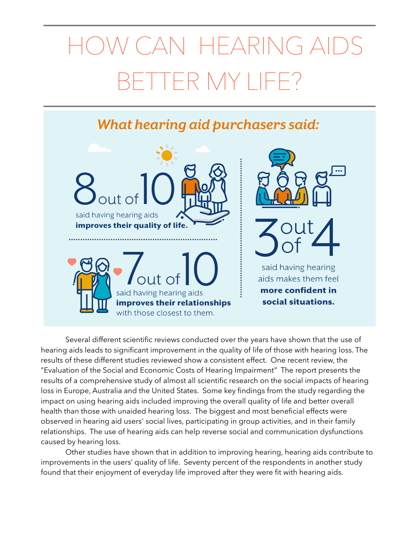## HEARING AID TER MY LIF

## **What hearing aid purchasers said:**



 Several different scientific reviews conducted over the years have shown that the use of hearing aids leads to significant improvement in the quality of life of those with hearing loss. The results of these different studies reviewed show a consistent effect. One recent review, the "Evaluation of the Social and Economic Costs of Hearing Impairment" The report presents the results of a comprehensive study of almost all scientific research on the social impacts of hearing loss in Europe, Australia and the United States. Some key findings from the study regarding the impact on using hearing aids included improving the overall quality of life and better overall health than those with unaided hearing loss. The biggest and most beneficial effects were observed in hearing aid users' social lives, participating in group activities, and in their family relationships. The use of hearing aids can help reverse social and communication dysfunctions caused by hearing loss.

 Other studies have shown that in addition to improving hearing, hearing aids contribute to improvements in the users' quality of life. Seventy percent of the respondents in another study found that their enjoyment of everyday life improved after they were fit with hearing aids.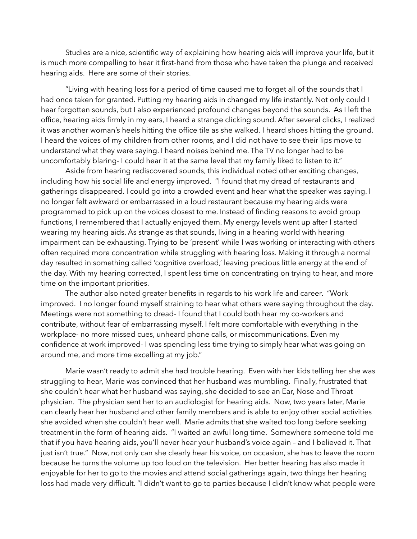Studies are a nice, scientific way of explaining how hearing aids will improve your life, but it is much more compelling to hear it first-hand from those who have taken the plunge and received hearing aids. Here are some of their stories.

 "Living with hearing loss for a period of time caused me to forget all of the sounds that I had once taken for granted. Putting my hearing aids in changed my life instantly. Not only could I hear forgotten sounds, but I also experienced profound changes beyond the sounds. As I left the office, hearing aids firmly in my ears, I heard a strange clicking sound. After several clicks, I realized it was another woman's heels hitting the office tile as she walked. I heard shoes hitting the ground. I heard the voices of my children from other rooms, and I did not have to see their lips move to understand what they were saying. I heard noises behind me. The TV no longer had to be uncomfortably blaring- I could hear it at the same level that my family liked to listen to it."

 Aside from hearing rediscovered sounds, this individual noted other exciting changes, including how his social life and energy improved. "I found that my dread of restaurants and gatherings disappeared. I could go into a crowded event and hear what the speaker was saying. I no longer felt awkward or embarrassed in a loud restaurant because my hearing aids were programmed to pick up on the voices closest to me. Instead of finding reasons to avoid group functions, I remembered that I actually enjoyed them. My energy levels went up after I started wearing my hearing aids. As strange as that sounds, living in a hearing world with hearing impairment can be exhausting. Trying to be 'present' while I was working or interacting with others often required more concentration while struggling with hearing loss. Making it through a normal day resulted in something called 'cognitive overload,' leaving precious little energy at the end of the day. With my hearing corrected, I spent less time on concentrating on trying to hear, and more time on the important priorities.

 The author also noted greater benefits in regards to his work life and career. "Work improved. I no longer found myself straining to hear what others were saying throughout the day. Meetings were not something to dread- I found that I could both hear my co-workers and contribute, without fear of embarrassing myself. I felt more comfortable with everything in the workplace- no more missed cues, unheard phone calls, or miscommunications. Even my confidence at work improved- I was spending less time trying to simply hear what was going on around me, and more time excelling at my job."

 Marie wasn't ready to admit she had trouble hearing. Even with her kids telling her she was struggling to hear, Marie was convinced that her husband was mumbling. Finally, frustrated that she couldn't hear what her husband was saying, she decided to see an Ear, Nose and Throat physician. The physician sent her to an audiologist for hearing aids. Now, two years later, Marie can clearly hear her husband and other family members and is able to enjoy other social activities she avoided when she couldn't hear well. Marie admits that she waited too long before seeking treatment in the form of hearing aids. "I waited an awful long time. Somewhere someone told me that if you have hearing aids, you'll never hear your husband's voice again – and I believed it. That just isn't true." Now, not only can she clearly hear his voice, on occasion, she has to leave the room because he turns the volume up too loud on the television. Her better hearing has also made it enjoyable for her to go to the movies and attend social gatherings again, two things her hearing loss had made very difficult. "I didn't want to go to parties because I didn't know what people were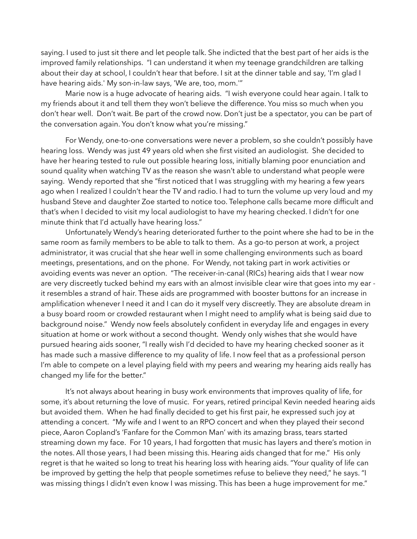saying. I used to just sit there and let people talk. She indicted that the best part of her aids is the improved family relationships. "I can understand it when my teenage grandchildren are talking about their day at school, I couldn't hear that before. I sit at the dinner table and say, 'I'm glad I have hearing aids.' My son-in-law says, 'We are, too, mom.'"

 Marie now is a huge advocate of hearing aids. "I wish everyone could hear again. I talk to my friends about it and tell them they won't believe the difference. You miss so much when you don't hear well. Don't wait. Be part of the crowd now. Don't just be a spectator, you can be part of the conversation again. You don't know what you're missing."

 For Wendy, one-to-one conversations were never a problem, so she couldn't possibly have hearing loss. Wendy was just 49 years old when she first visited an audiologist. She decided to have her hearing tested to rule out possible hearing loss, initially blaming poor enunciation and sound quality when watching TV as the reason she wasn't able to understand what people were saying. Wendy reported that she "first noticed that I was struggling with my hearing a few years ago when I realized I couldn't hear the TV and radio. I had to turn the volume up very loud and my husband Steve and daughter Zoe started to notice too. Telephone calls became more difficult and that's when I decided to visit my local audiologist to have my hearing checked. I didn't for one minute think that I'd actually have hearing loss."

 Unfortunately Wendy's hearing deteriorated further to the point where she had to be in the same room as family members to be able to talk to them. As a go-to person at work, a project administrator, it was crucial that she hear well in some challenging environments such as board meetings, presentations, and on the phone. For Wendy, not taking part in work activities or avoiding events was never an option. "The receiver-in-canal (RICs) hearing aids that I wear now are very discreetly tucked behind my ears with an almost invisible clear wire that goes into my ear it resembles a strand of hair. These aids are programmed with booster buttons for an increase in amplification whenever I need it and I can do it myself very discreetly. They are absolute dream in a busy board room or crowded restaurant when I might need to amplify what is being said due to background noise." Wendy now feels absolutely confident in everyday life and engages in every situation at home or work without a second thought. Wendy only wishes that she would have pursued hearing aids sooner, "I really wish I'd decided to have my hearing checked sooner as it has made such a massive difference to my quality of life. I now feel that as a professional person I'm able to compete on a level playing field with my peers and wearing my hearing aids really has changed my life for the better."

 It's not always about hearing in busy work environments that improves quality of life, for some, it's about returning the love of music. For years, retired principal Kevin needed hearing aids but avoided them. When he had finally decided to get his first pair, he expressed such joy at attending a concert. "My wife and I went to an RPO concert and when they played their second piece, Aaron Copland's 'Fanfare for the Common Man' with its amazing brass, tears started streaming down my face. For 10 years, I had forgotten that music has layers and there's motion in the notes. All those years, I had been missing this. Hearing aids changed that for me." His only regret is that he waited so long to treat his hearing loss with hearing aids. "Your quality of life can be improved by getting the help that people sometimes refuse to believe they need," he says. "I was missing things I didn't even know I was missing. This has been a huge improvement for me."